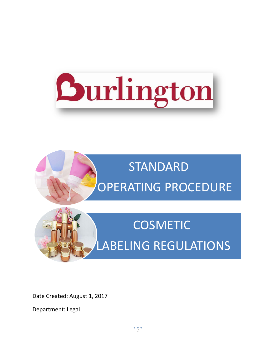



# **COSMETIC** LABELING REGULATIONS

Date Created: August 1, 2017

Department: Legal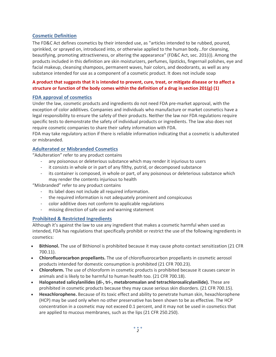# **Cosmetic Definition**

The FD&C Act defines cosmetics by their intended use, as "articles intended to be rubbed, poured, sprinkled, or sprayed on, introduced into, or otherwise applied to the human body...for cleansing, beautifying, promoting attractiveness, or altering the appearance" (FD&C Act, sec. 201(i)). Among the products included in this definition are skin moisturizers, perfumes, lipsticks, fingernail polishes, eye and facial makeup, cleansing shampoos, permanent waves, hair colors, and deodorants, as well as any substance intended for use as a component of a cosmetic product. It does not include soap

#### **A product that suggests that it is intended to prevent, cure, treat, or mitigate disease or to affect a structure or function of the body comes within the definition of a drug in section 201(g) (1)**

#### **FDA approval of cosmetics**

Under the law, cosmetic products and ingredients do not need FDA pre-market approval, with the exception of color additives. Companies and individuals who manufacture or market cosmetics have a legal responsibility to ensure the safety of their products. Neither the law nor FDA regulations require specific tests to demonstrate the safety of individual products or ingredients. The law also does not require cosmetic companies to share their safety information with FDA.

FDA may take regulatory action if there is reliable information indicating that a cosmetic is adulterated or misbranded.

# **Adulterated or Misbranded Cosmetics**

"Adulteration" refer to any product contains

- any poisonous or deleterious substance which may render it injurious to users
- it consists in whole or in part of any filthy, putrid, or decomposed substance
- its container is composed, in whole or part, of any poisonous or deleterious substance which may render the contents injurious to health

"Misbranded" refer to any product contains

- Its label does not include all required information.
- the required information is not adequately prominent and conspicuous
- color additive does not conform to applicable regulations
- missing direction of safe use and warning statement

# **Prohibited & Restricted Ingredients**

Although it's against the law to use any ingredient that makes a cosmetic harmful when used as intended, FDA has regulations that specifically prohibit or restrict the use of the following ingredients in cosmetics:

- **Bithionol.** The use of Bithionol is prohibited because it may cause photo contact sensitization (21 CFR 700.11).
- **Chlorofluorocarbon propellants.** The use of chlorofluorocarbon propellants in cosmetic aerosol products intended for domestic consumption is prohibited (21 CFR 700.23).
- **Chloroform.** The use of chloroform in cosmetic products is prohibited because it causes cancer in animals and is likely to be harmful to human health too. (21 CFR 700.18).
- **Halogenated salicylanilides (di-, tri-, metabromsalan and tetrachlorosalicylanilide).** These are prohibited in cosmetic products because they may cause serious skin disorders. (21 CFR 700.15).
- **Hexachlorophene.** Because of its toxic effect and ability to penetrate human skin, hexachlorophene (HCP) may be used only when no other preservative has been shown to be as effective. The HCP concentration in a cosmetic may not exceed 0.1 percent, and it may not be used in cosmetics that are applied to mucous membranes, such as the lips (21 CFR 250.250).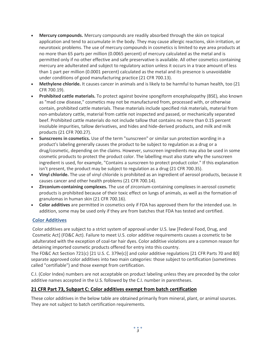- **Mercury compounds.** Mercury compounds are readily absorbed through the skin on topical application and tend to accumulate in the body. They may cause allergic reactions, skin irritation, or neurotoxic problems. The use of mercury compounds in cosmetics is limited to eye area products at no more than 65 parts per million (0.0065 percent) of mercury calculated as the metal and is permitted only if no other effective and safe preservative is available. All other cosmetics containing mercury are adulterated and subject to regulatory action unless it occurs in a trace amount of less than 1 part per million (0.0001 percent) calculated as the metal and its presence is unavoidable under conditions of good manufacturing practice (21 CFR 700.13).
- **Methylene chloride.** It causes cancer in animals and is likely to be harmful to human health, too (21 CFR 700.19).
- **Prohibited cattle materials.** To protect against bovine spongiform encephalopathy (BSE), also known as "mad cow disease," cosmetics may not be manufactured from, processed with, or otherwise contain, prohibited cattle materials. These materials include specified risk materials, material from non-ambulatory cattle, material from cattle not inspected and passed, or mechanically separated beef. Prohibited cattle materials do not include tallow that contains no more than 0.15 percent insoluble impurities, tallow derivatives, and hides and hide-derived products, and milk and milk products (21 CFR 700.27).
- **Sunscreens in cosmetics.** Use of the term "sunscreen" or similar sun protection wording in a product's labeling generally causes the product to be subject to regulation as a drug or a drug/cosmetic, depending on the claims. However, sunscreen ingredients may also be used in some cosmetic products to protect the product color. The labelling must also state why the sunscreen ingredient is used, for example, "Contains a sunscreen to protect product color." If this explanation isn't present, the product may be subject to regulation as a drug (21 CFR 700.35).
- **Vinyl chloride.** The use of vinyl chloride is prohibited as an ingredient of aerosol products, because it causes cancer and other health problems (21 CFR 700.14).
- **Zirconium-containing complexes.** The use of zirconium-containing complexes in aerosol cosmetic products is prohibited because of their toxic effect on lungs of animals, as well as the formation of granulomas in human skin (21 CFR 700.16).
- **Color additives** are permitted in cosmetics only if FDA has approved them for the intended use. In addition, some may be used only if they are from batches that FDA has tested and certified.

# **Color Additives**

Color additives are subject to a strict system of approval under U.S. law [Federal Food, Drug, and Cosmetic Act] (FD&C Act). Failure to meet U.S. color additive requirements causes a cosmetic to be adulterated with the exception of coal-tar hair dyes. Color additive violations are a common reason for detaining imported cosmetic products offered for entry into this country.

The FD&C Act Section 721(c) [21 U.S. C. 379e(c)] and color additive regulations [21 CFR Parts 70 and 80] separate approved color additives into two main categories: those subject to certification (sometimes called "certifiable") and those exempt from certification.

C.I. (Color Index) numbers are not acceptable on product labeling unless they are preceded by the color additive names accepted in the U.S. followed by the C.I. number in parentheses.

# **21 CFR Part 73, Subpart C: Color additives exempt from batch certification**

These color additives in the below table are obtained primarily from mineral, plant, or animal sources. They are not subject to batch certification requirements.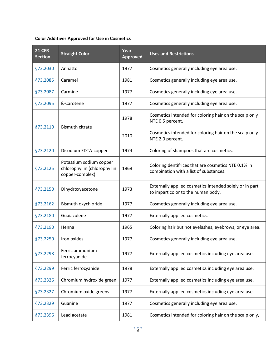# **Color Additives Approved for Use in Cosmetics**

| <b>21 CFR</b><br><b>Section</b> | <b>Straight Color</b>                                                      | Year<br><b>Approved</b> | <b>Uses and Restrictions</b>                                                                  |
|---------------------------------|----------------------------------------------------------------------------|-------------------------|-----------------------------------------------------------------------------------------------|
| §73.2030                        | Annatto                                                                    | 1977                    | Cosmetics generally including eye area use.                                                   |
| §73.2085                        | Caramel                                                                    | 1981                    | Cosmetics generally including eye area use.                                                   |
| §73.2087                        | Carmine                                                                    | 1977                    | Cosmetics generally including eye area use.                                                   |
| <b>§73.2095</b>                 | <b>ß-Carotene</b>                                                          | 1977                    | Cosmetics generally including eye area use.                                                   |
| §73.2110                        |                                                                            | 1978                    | Cosmetics intended for coloring hair on the scalp only<br>NTE 0.5 percent.                    |
|                                 | <b>Bismuth citrate</b>                                                     | 2010                    | Cosmetics intended for coloring hair on the scalp only<br>NTE 2.0 percent.                    |
| <b>§73.2120</b>                 | Disodium EDTA-copper                                                       | 1974                    | Coloring of shampoos that are cosmetics.                                                      |
| §73.2125                        | Potassium sodium copper<br>chlorophyllin (chlorophyllin<br>copper-complex) | 1969                    | Coloring dentifrices that are cosmetics NTE 0.1% in<br>combination with a list of substances. |
| <b>§73.2150</b>                 | Dihydroxyacetone                                                           | 1973                    | Externally applied cosmetics intended solely or in part<br>to impart color to the human body. |
| <b>§73.2162</b>                 | Bismuth oxychloride                                                        | 1977                    | Cosmetics generally including eye area use.                                                   |
| <b>§73.2180</b>                 | Guaiazulene                                                                | 1977                    | Externally applied cosmetics.                                                                 |
| §73.2190                        | Henna                                                                      | 1965                    | Coloring hair but not eyelashes, eyebrows, or eye area.                                       |
| <b>§73.2250</b>                 | Iron oxides                                                                | 1977                    | Cosmetics generally including eye area use.                                                   |
| §73.2298                        | Ferric ammonium<br>ferrocyanide                                            | 1977                    | Externally applied cosmetics including eye area use.                                          |
| §73.2299                        | Ferric ferrocyanide                                                        | 1978                    | Externally applied cosmetics including eye area use.                                          |
| <b>§73.2326</b>                 | Chromium hydroxide green                                                   | 1977                    | Externally applied cosmetics including eye area use.                                          |
| <b>§73.2327</b>                 | Chromium oxide greens                                                      | 1977                    | Externally applied cosmetics including eye area use.                                          |
| <b>§73.2329</b>                 | Guanine                                                                    | 1977                    | Cosmetics generally including eye area use.                                                   |
| <b>§73.2396</b>                 | Lead acetate                                                               | 1981                    | Cosmetics intended for coloring hair on the scalp only,                                       |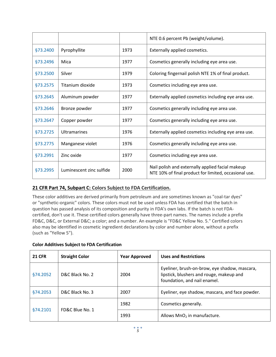|                 |                          |      | NTE 0.6 percent Pb (weight/volume).                                                                       |
|-----------------|--------------------------|------|-----------------------------------------------------------------------------------------------------------|
| <b>§73.2400</b> | Pyrophyllite             | 1973 | Externally applied cosmetics.                                                                             |
| §73.2496        | Mica                     | 1977 | Cosmetics generally including eye area use.                                                               |
| §73.2500        | Silver                   | 1979 | Coloring fingernail polish NTE 1% of final product.                                                       |
| <b>§73.2575</b> | Titanium dioxide         | 1973 | Cosmetics including eye area use.                                                                         |
| §73.2645        | Aluminum powder          | 1977 | Externally applied cosmetics including eye area use.                                                      |
| §73.2646        | Bronze powder            | 1977 | Cosmetics generally including eye area use.                                                               |
| §73.2647        | Copper powder            | 1977 | Cosmetics generally including eye area use.                                                               |
| §73.2725        | <b>Ultramarines</b>      | 1976 | Externally applied cosmetics including eye area use.                                                      |
| §73.2775        | Manganese violet         | 1976 | Cosmetics generally including eye area use.                                                               |
| §73.2991        | Zinc oxide               | 1977 | Cosmetics including eye area use.                                                                         |
| §73.2995        | Luminescent zinc sulfide | 2000 | Nail polish and externally applied facial makeup<br>NTE 10% of final product for limited, occasional use. |

# **21 CFR Part 74, Subpart C: Colors Subject to FDA Certification.**

These color additives are derived primarily from petroleum and are sometimes known as "coal-tar dyes" or "synthetic-organic" colors. These colors must not be used unless FDA has certified that the batch in question has passed analysis of its composition and purity in FDA's own labs. If the batch is not FDAcertified, don't use it. These certified colors generally have three-part names. The names include a prefix FD&C, D&C, or External D&C; a color; and a number. An example is "FD&C Yellow No. 5." Certified colors also may be identified in cosmetic ingredient declarations by color and number alone, without a prefix (such as "Yellow 5").

| <b>21 CFR</b> | <b>Straight Color</b> | <b>Year Approved</b> | <b>Uses and Restrictions</b>                                                                                              |
|---------------|-----------------------|----------------------|---------------------------------------------------------------------------------------------------------------------------|
| §74.2052      | D&C Black No. 2       | 2004                 | Eyeliner, brush-on-brow, eye shadow, mascara,<br>lipstick, blushers and rouge, makeup and<br>foundation, and nail enamel. |
| §74.2053      | D&C Black No. 3       | 2007                 | Eyeliner, eye shadow, mascara, and face powder.                                                                           |
| \$74,2101     | FD&C Blue No. 1       | 1982                 | Cosmetics generally.                                                                                                      |
|               |                       | 1993                 | Allows $MnO2$ in manufacture.                                                                                             |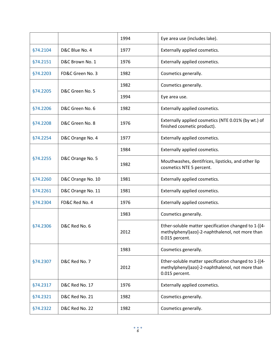|          |                   | 1994 | Eye area use (includes lake).                                                                                             |
|----------|-------------------|------|---------------------------------------------------------------------------------------------------------------------------|
| §74.2104 | D&C Blue No. 4    | 1977 | Externally applied cosmetics.                                                                                             |
| §74.2151 | D&C Brown No. 1   | 1976 | Externally applied cosmetics.                                                                                             |
| §74.2203 | FD&C Green No. 3  | 1982 | Cosmetics generally.                                                                                                      |
| §74.2205 | D&C Green No. 5   | 1982 | Cosmetics generally.                                                                                                      |
|          |                   | 1994 | Eye area use.                                                                                                             |
| §74.2206 | D&C Green No. 6   | 1982 | Externally applied cosmetics.                                                                                             |
| §74.2208 | D&C Green No. 8   | 1976 | Externally applied cosmetics (NTE 0.01% (by wt.) of<br>finished cosmetic product).                                        |
| §74.2254 | D&C Orange No. 4  | 1977 | Externally applied cosmetics.                                                                                             |
|          | D&C Orange No. 5  | 1984 | Externally applied cosmetics.                                                                                             |
| §74.2255 |                   | 1982 | Mouthwashes, dentifrices, lipsticks, and other lip<br>cosmetics NTE 5 percent.                                            |
| §74.2260 | D&C Orange No. 10 | 1981 | Externally applied cosmetics.                                                                                             |
| §74.2261 | D&C Orange No. 11 | 1981 | Externally applied cosmetics.                                                                                             |
| §74.2304 | FD&C Red No. 4    | 1976 | Externally applied cosmetics.                                                                                             |
|          | D&C Red No. 6     | 1983 | Cosmetics generally.                                                                                                      |
| §74.2306 |                   | 2012 | Ether-soluble matter specification changed to 1-[(4-<br>methylphenyl)azo]-2-naphthalenol, not more than<br>0.015 percent. |
| §74.2307 | D&C Red No. 7     | 1983 | Cosmetics generally.                                                                                                      |
|          |                   | 2012 | Ether-soluble matter specification changed to 1-[(4-<br>methylphenyl)azo]-2-naphthalenol, not more than<br>0.015 percent. |
| §74.2317 | D&C Red No. 17    | 1976 | Externally applied cosmetics.                                                                                             |
| §74.2321 | D&C Red No. 21    | 1982 | Cosmetics generally.                                                                                                      |
| §74.2322 | D&C Red No. 22    | 1982 | Cosmetics generally.                                                                                                      |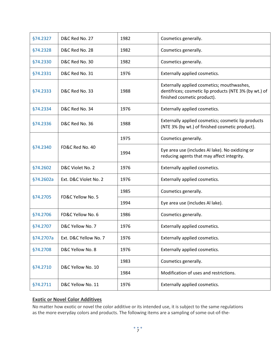| §74.2327  | D&C Red No. 27        | 1982 | Cosmetics generally.                                                                                                                |
|-----------|-----------------------|------|-------------------------------------------------------------------------------------------------------------------------------------|
| §74.2328  | D&C Red No. 28        | 1982 | Cosmetics generally.                                                                                                                |
| §74.2330  | D&C Red No. 30        | 1982 | Cosmetics generally.                                                                                                                |
| §74.2331  | D&C Red No. 31        | 1976 | Externally applied cosmetics.                                                                                                       |
| §74.2333  | D&C Red No. 33        | 1988 | Externally applied cosmetics; mouthwashes,<br>dentifrices; cosmetic lip products (NTE 3% (by wt.) of<br>finished cosmetic product). |
| §74.2334  | D&C Red No. 34        | 1976 | Externally applied cosmetics.                                                                                                       |
| §74.2336  | D&C Red No. 36        | 1988 | Externally applied cosmetics; cosmetic lip products<br>(NTE 3% (by wt.) of finished cosmetic product).                              |
|           | FD&C Red No. 40       | 1975 | Cosmetics generally.                                                                                                                |
| §74.2340  |                       | 1994 | Eye area use (includes Al lake). No oxidizing or<br>reducing agents that may affect integrity.                                      |
| §74.2602  | D&C Violet No. 2      | 1976 | Externally applied cosmetics.                                                                                                       |
| §74.2602a | Ext. D&C Violet No. 2 | 1976 | Externally applied cosmetics.                                                                                                       |
| §74.2705  | FD&C Yellow No. 5     | 1985 | Cosmetics generally.                                                                                                                |
|           |                       | 1994 | Eye area use (includes Al lake).                                                                                                    |
| §74.2706  | FD&C Yellow No. 6     | 1986 | Cosmetics generally.                                                                                                                |
| §74.2707  | D&C Yellow No. 7      | 1976 | Externally applied cosmetics.                                                                                                       |
| §74.2707a | Ext. D&C Yellow No. 7 | 1976 | Externally applied cosmetics.                                                                                                       |
| §74.2708  | D&C Yellow No. 8      | 1976 | Externally applied cosmetics.                                                                                                       |
| §74.2710  | D&C Yellow No. 10     | 1983 | Cosmetics generally.                                                                                                                |
|           |                       | 1984 | Modification of uses and restrictions.                                                                                              |
| §74.2711  | D&C Yellow No. 11     | 1976 | Externally applied cosmetics.                                                                                                       |

# **Exotic or Novel Color Additives**

No matter how exotic or novel the color additive or its intended use, it is subject to the same regulations as the more everyday colors and products. The following items are a sampling of some out-of-the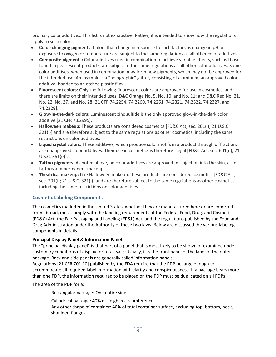ordinary color additives. This list is not exhaustive. Rather, it is intended to show how the regulations apply to such colors:

- **Color-changing pigments:** Colors that change in response to such factors as change in pH or exposure to oxygen or temperature are subject to the same regulations as all other color additives.
- **Composite pigments:** Color additives used in combination to achieve variable effects, such as those found in pearlescent products, are subject to the same regulations as all other color additives. Some color additives, when used in combination, may form new pigments, which may not be approved for the intended use. An example is a "holographic" glitter, consisting of aluminum, an approved color additive, bonded to an etched plastic film.
- **Fluorescent colors:** Only the following fluorescent colors are approved for use in cosmetics, and there are limits on their intended uses: D&C Orange No. 5, No. 10, and No. 11; and D&C Red No. 21, No. 22, No. 27, and No. 28 [21 CFR 74.2254, 74.2260, 74.2261, 74.2321, 74.2322, 74.2327, and 74.2328].
- **Glow-in-the-dark colors:** Luminescent zinc sulfide is the only approved glow-in-the-dark color additive [21 CFR 73.2995].
- **Halloween makeup:** These products are considered cosmetics [FD&C Act, sec. 201(i); 21 U.S.C. 321(i)] and are therefore subject to the same regulations as other cosmetics, including the same restrictions on color additives.
- **Liquid crystal colors:** These additives, which produce color motifs in a product through diffraction, are unapproved color additives. Their use in cosmetics is therefore illegal [FD&C Act, sec. 601(e); 21 U.S.C. 361(e)].
- **Tattoo pigments:** As noted above, no color additives are approved for injection into the skin, as in tattoos and permanent makeup.
- **Theatrical makeup:** Like Halloween makeup, these products are considered cosmetics [FD&C Act, sec. 201(i); 21 U.S.C. 321(i)] and are therefore subject to the same regulations as other cosmetics, including the same restrictions on color additives.

# **Cosmetic Labeling Components**

The cosmetics marketed in the United States, whether they are manufactured here or are imported from abroad, must comply with the labeling requirements of the Federal Food, Drug, and Cosmetic (FD&C) Act, the Fair Packaging and Labeling (FP&L) Act, and the regulations published by the Food and Drug Administration under the Authority of these two laws. Below are discussed the various labeling components in details.

# **Principal Display Panel & Information Panel**

The "principal display panel" is that part of a panel that is most likely to be shown or examined under customary conditions of display for retail sale. Usually, it is the front panel of the label of the outer package. Back and side panels are generally called information panels

Regulations [21 CFR 701.10] published by the FDA require that the PDP be large enough to accommodate all required label information with clarity and conspicuousness. If a package bears more than one PDP, the information required to be placed on the PDP must be duplicated on all PDPs

The area of the PDP for a:

- Rectangular package: One entire side.
- Cylindrical package: 40% of height x circumference.
- Any other shape of container: 40% of total container surface, excluding top, bottom, neck, shoulder, flanges.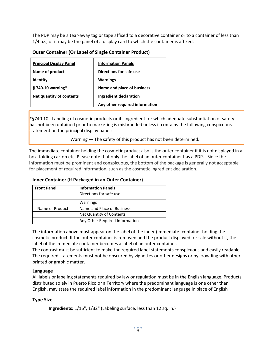The PDP may be a tear-away tag or tape affixed to a decorative container or to a container of less than 1/4 oz., or it may be the panel of a display card to which the container is affixed.

| <b>Principal Display Panel</b> | <b>Information Panels</b>      |
|--------------------------------|--------------------------------|
| Name of product                | Directions for safe use        |
| <b>Identity</b>                | <b>Warnings</b>                |
| $§$ 740.10 warning*            | Name and place of business     |
| Net quantity of contents       | <b>Ingredient declaration</b>  |
|                                | Any other required information |

**Outer Container (Or Label of Single Container Product)**

\*§740.10 - Labeling of cosmetic products or its ingredient for which adequate substantiation of safety has not been obtained prior to marketing is misbranded unless it contains the following conspicuous statement on the principal display panel:

Warning — The safety of this product has not been determined.

The immediate container holding the cosmetic product also is the outer container if it is not displayed in a box, folding carton etc. Please note that only the label of an outer container has a PDP. Since the information must be prominent and conspicuous, the bottom of the package is generally not acceptable for placement of required information, such as the cosmetic ingredient declaration.

# **Inner Container (If Packaged in an Outer Container)**

| <b>Front Panel</b> | <b>Information Panels</b>      |  |
|--------------------|--------------------------------|--|
|                    | Directions for safe use        |  |
|                    | Warnings                       |  |
| Name of Product    | Name and Place of Business     |  |
|                    | Net Quantity of Contents       |  |
|                    | Any Other Required Information |  |

The information above must appear on the label of the inner (immediate) container holding the cosmetic product. If the outer container is removed and the product displayed for sale without it, the label of the immediate container becomes a label of an outer container.

The contrast must be sufficient to make the required label statements conspicuous and easily readable The required statements must not be obscured by vignettes or other designs or by crowding with other printed or graphic matter.

#### **Language**

All labels or labeling statements required by law or regulation must be in the English language. Products distributed solely in Puerto Rico or a Territory where the predominant language is one other than English, may state the required label information in the predominant language in place of English

# **Type Size**

**Ingredients:** 1/16", 1/32" (Labeling surface, less than 12 sq. in.)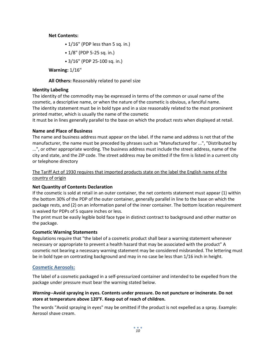#### **Net Contents:**

• 1/16" (PDP less than 5 sq. in.)

• 1/8" (PDP 5-25 sq. in.)

• 3/16" (PDP 25-100 sq. in.)

**Warning:** 1/16"

**All Others:** Reasonably related to panel size

#### **Identity Labeling**

The identity of the commodity may be expressed in terms of the common or usual name of the cosmetic, a descriptive name, or when the nature of the cosmetic is obvious, a fanciful name. The identity statement must be in bold type and in a size reasonably related to the most prominent printed matter, which is usually the name of the cosmetic

It must be in lines generally parallel to the base on which the product rests when displayed at retail.

#### **Name and Place of Business**

The name and business address must appear on the label. If the name and address is not that of the manufacturer, the name must be preceded by phrases such as "Manufactured for ...", "Distributed by ...", or other appropriate wording. The business address must include the street address, name of the city and state, and the ZIP code. The street address may be omitted if the firm is listed in a current city or telephone directory

# The Tariff Act of 1930 requires that imported products state on the label the English name of the country of origin

# **Net Quantity of Contents Declaration**

If the cosmetic is sold at retail in an outer container, the net contents statement must appear (1) within the bottom 30% of the PDP of the outer container, generally parallel in line to the base on which the package rests, and (2) on an information panel of the inner container. The bottom location requirement is waived for PDPs of 5 square inches or less.

The print must be easily legible bold face type in distinct contract to background and other matter on the package.

#### **Cosmetic Warning Statements**

Regulations require that "the label of a cosmetic product shall bear a warning statement whenever necessary or appropriate to prevent a health hazard that may be associated with the product" A cosmetic not bearing a necessary warning statement may be considered misbranded. The lettering must be in bold type on contrasting background and may in no case be less than 1/16 inch in height.

# **Cosmetic Aerosols:**

The label of a cosmetic packaged in a self-pressurized container and intended to be expelled from the package under pressure must bear the warning stated below.

#### *Warning***--Avoid spraying in eyes. Contents under pressure. Do not puncture or incinerate. Do not store at temperature above 120°F. Keep out of reach of children.**

The words "Avoid spraying in eyes" may be omitted if the product is not expelled as a spray. Example: Aerosol shave cream.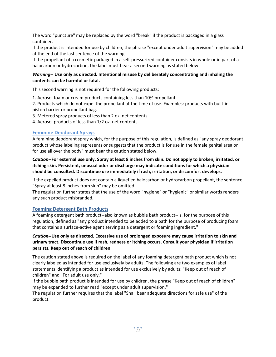The word "puncture" may be replaced by the word "break" if the product is packaged in a glass container.

If the product is intended for use by children, the phrase "except under adult supervision" may be added at the end of the last sentence of the warning.

If the propellant of a cosmetic packaged in a self-pressurized container consists in whole or in part of a halocarbon or hydrocarbon, the label must bear a second warning as stated below.

# *Warning***-- Use only as directed. Intentional misuse by deliberately concentrating and inhaling the contents can be harmful or fatal.**

This second warning is not required for the following products:

1. Aerosol foam or cream products containing less than 10% propellant.

2. Products which do not expel the propellant at the time of use. Examples: products with built-in piston barrier or propellant bag.

- 3. Metered spray products of less than 2 oz. net contents.
- 4. Aerosol products of less than 1/2 oz. net contents.

#### **Feminine Deodorant Sprays**

A feminine deodorant spray which, for the purpose of this regulation, is defined as "any spray deodorant product whose labeling represents or suggests that the product is for use in the female genital area or for use all over the body" must bear the caution stated below.

*Caution***--For external use only. Spray at least 8 inches from skin. Do not apply to broken, irritated, or itching skin. Persistent, unusual odor or discharge may indicate conditions for which a physician should be consulted. Discontinue use immediately if rash, irritation, or discomfort develops.**

If the expelled product does not contain a liquefied halocarbon or hydrocarbon propellant, the sentence "Spray at least 8 inches from skin" may be omitted.

The regulation further states that the use of the word "hygiene" or "hygienic" or similar words renders any such product misbranded.

#### **Foaming Detergent Bath Products**

A foaming detergent bath product--also known as bubble bath product--is, for the purpose of this regulation, defined as "any product intended to be added to a bath for the purpose of producing foam that contains a surface-active agent serving as a detergent or foaming ingredient."

#### *Caution***--Use only as directed. Excessive use of prolonged exposure may cause irritation to skin and urinary tract. Discontinue use if rash, redness or itching occurs. Consult your physician if irritation persists. Keep out of reach of children**

The caution stated above is required on the label of any foaming detergent bath product which is not clearly labeled as intended for use exclusively by adults. The following are two examples of label statements identifying a product as intended for use exclusively by adults: "Keep out of reach of children" and "For adult use only."

If the bubble bath product is intended for use by children, the phrase "Keep out of reach of children" may be expanded to further read "except under adult supervision."

The regulation further requires that the label "Shall bear adequate directions for safe use" of the product.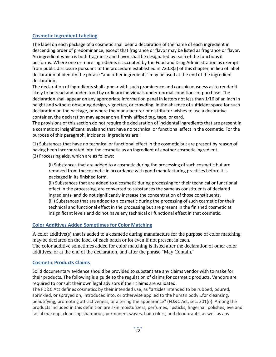# **Cosmetic Ingredient Labeling**

The label on each package of a cosmetic shall bear a declaration of the name of each ingredient in descending order of predominance, except that fragrance or flavor may be listed as fragrance or flavor. An ingredient which is both fragrance and flavor shall be designated by each of the functions it performs. Where one or more ingredients is accepted by the Food and Drug Administration as exempt from public disclosure pursuant to the procedure established in 720.8(a) of this chapter, in lieu of label declaration of identity the phrase "and other ingredients" may be used at the end of the ingredient declaration.

The declaration of ingredients shall appear with such prominence and conspicuousness as to render it likely to be read and understood by ordinary individuals under normal conditions of purchase. The declaration shall appear on any appropriate information panel in letters not less than 1/16 of an inch in height and without obscuring design, vignettes, or crowding. In the absence of sufficient space for such declaration on the package, or where the manufacturer or distributor wishes to use a decorative container, the declaration may appear on a firmly affixed tag, tape, or card.

The provisions of this section do not require the declaration of incidental ingredients that are present in a cosmetic at insignificant levels and that have no technical or functional effect in the cosmetic. For the purpose of this paragraph, incidental ingredients are:

(1) Substances that have no technical or functional effect in the cosmetic but are present by reason of having been incorporated into the cosmetic as an ingredient of another cosmetic ingredient. (2) Processing aids, which are as follows:

(i) Substances that are added to a cosmetic during the processing of such cosmetic but are removed from the cosmetic in accordance with good manufacturing practices before it is packaged in its finished form.

(ii) Substances that are added to a cosmetic during processing for their technical or functional effect in the processing, are converted to substances the same as constituents of declared ingredients, and do not significantly increase the concentration of those constituents. (iii) Substances that are added to a cosmetic during the processing of such cosmetic for their technical and functional effect in the processing but are present in the finished cosmetic at insignificant levels and do not have any technical or functional effect in that cosmetic.

# **Color Additives Added Sometimes for Color Matching**

A color additive(s) that is added to a cosmetic during manufacture for the purpose of color matching may be declared on the label of each batch or lot even if not present in each. The color additive sometimes added for color matching is listed after the declaration of other color

additives, or at the end of the declaration, and after the phrase "May Contain."

#### **Cosmetic Products Claims**

Solid documentary evidence should be provided to substantiate any claims vendor wish to make for their products. The following is a guide to the regulation of claims for cosmetic products. Vendors are required to consult their own legal advisors if their claims are validated.

The FD&C Act defines cosmetics by their intended use, as "articles intended to be rubbed, poured, sprinkled, or sprayed on, introduced into, or otherwise applied to the human body...for cleansing, beautifying, promoting attractiveness, or altering the appearance" (FD&C Act, sec. 201(i)). Among the products included in this definition are skin moisturizers, perfumes, lipsticks, fingernail polishes, eye and facial makeup, cleansing shampoos, permanent waves, hair colors, and deodorants, as well as any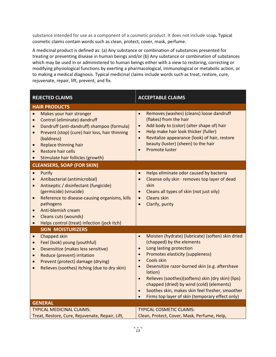substance intended for use as a component of a cosmetic product. It does not include soap**.** Typical cosmetic claims contain words such as clean, protect, cover, mask, perfume.

A medicinal product is defined as: (a) Any substance or combination of substances presented for treating or preventing disease in human beings and/or (b) Any substance or combination of substances which may be used in or administered to human beings either with a view to restoring, correcting or modifying physiological functions by exerting a pharmacological, immunological or metabolic action, or to making a medical diagnosis. Typical medicinal claims include words such as treat, restore, cure, rejuvenate, repair, lift, prevent, and fix.

| <b>REJECTED CLAIMS</b>                                                                                                                                                                                                                                                                                                                                              | <b>ACCEPTABLE CLAIMS</b>                                                                                                                                                                                                                                                                                                                                                                                                                                                                           |  |  |
|---------------------------------------------------------------------------------------------------------------------------------------------------------------------------------------------------------------------------------------------------------------------------------------------------------------------------------------------------------------------|----------------------------------------------------------------------------------------------------------------------------------------------------------------------------------------------------------------------------------------------------------------------------------------------------------------------------------------------------------------------------------------------------------------------------------------------------------------------------------------------------|--|--|
| <b>HAIR PRODUCTS</b>                                                                                                                                                                                                                                                                                                                                                |                                                                                                                                                                                                                                                                                                                                                                                                                                                                                                    |  |  |
| Makes your hair stronger<br>$\bullet$<br>Control (eliminate) dandruff<br>$\bullet$<br>Dandruff (anti-dandruff) shampoo (formula)<br>$\bullet$<br>Prevent (stop) (cure) hair loss, hair thinning<br>$\bullet$<br>(baldness)<br><b>Replace thinning hair</b><br>$\bullet$<br><b>Restore hair cells</b><br>$\bullet$<br>Stimulate hair follicles (growth)<br>$\bullet$ | Removes (washes) (cleans) loose dandruff<br>(flakes) from the hair<br>Add body to (color) (alter shape of) hair<br>$\bullet$<br>Help make hair look thicker (fuller)<br>Revitalize appearance (look) of hair, restore<br>$\bullet$<br>beauty (luster) (sheen) to the hair<br>Promote luster<br>$\bullet$                                                                                                                                                                                           |  |  |
| <b>CLEANSERS, SOAP (FOR SKIN)</b>                                                                                                                                                                                                                                                                                                                                   |                                                                                                                                                                                                                                                                                                                                                                                                                                                                                                    |  |  |
| Purify<br>$\bullet$<br>Antibacterial (antimicrobial)<br>$\bullet$<br>Antiseptic / disinfectant (fungicide)<br>$\bullet$<br>(germicide) (virucide)<br>Reference to disease-causing organisms, kills<br>$\bullet$<br>pathogens<br>Anti-blemish cream<br>$\bullet$<br>Cleans cuts (wounds)<br>$\bullet$<br>Helps control (treat) infection (jock itch)<br>$\bullet$    | Helps eliminate odor caused by bacteria<br>Cleanse oily skin · removes top layer of dead<br>skin<br>Cleans all types of skin (not just oily)<br>$\bullet$<br><b>Cleans skin</b><br>$\bullet$<br>Clarify, purity<br>$\bullet$                                                                                                                                                                                                                                                                       |  |  |
| <b>SKIN MOISTURIZERS</b>                                                                                                                                                                                                                                                                                                                                            |                                                                                                                                                                                                                                                                                                                                                                                                                                                                                                    |  |  |
| Chapped skin<br>$\bullet$<br>Feel (look) young (youthful)<br>$\bullet$<br>Desensitize (makes less sensitive)<br>$\bullet$<br>Reduce (prevent) irritation<br>$\bullet$<br>Prevent (protect) damage (drying)<br>$\bullet$<br>Relieves (soothes) itching (due to dry skin)<br>$\bullet$                                                                                | Moisten (hydrate) (lubricate) (soften) skin dried<br>$\bullet$<br>(chapped) by the elements<br>Long lasting protection<br>Promotes elasticity (suppleness)<br>$\bullet$<br>Cools skin<br>$\bullet$<br>Desensitize razor-burned skin (e.g. aftershave<br>lotion)<br>Relieves (soothes)(softens) skin (dry skin) (lips)<br>$\bullet$<br>chapped (dried) by wind (cold) (elements)<br>Soothes skin, makes skin feel fresher, smoother<br>$\bullet$<br>Firms top layer of skin (temporary effect only) |  |  |
| <b>GENERAL</b>                                                                                                                                                                                                                                                                                                                                                      |                                                                                                                                                                                                                                                                                                                                                                                                                                                                                                    |  |  |
| <b>TYPICAL MEDICINAL CLAIMS:</b><br>Treat, Restore, Cure, Rejuvenate, Repair, Lift,                                                                                                                                                                                                                                                                                 | <b>TYPICAL COSMETIC CLAIMS:</b><br>Clean, Protect, Cover, Mask, Perfume, Help,                                                                                                                                                                                                                                                                                                                                                                                                                     |  |  |